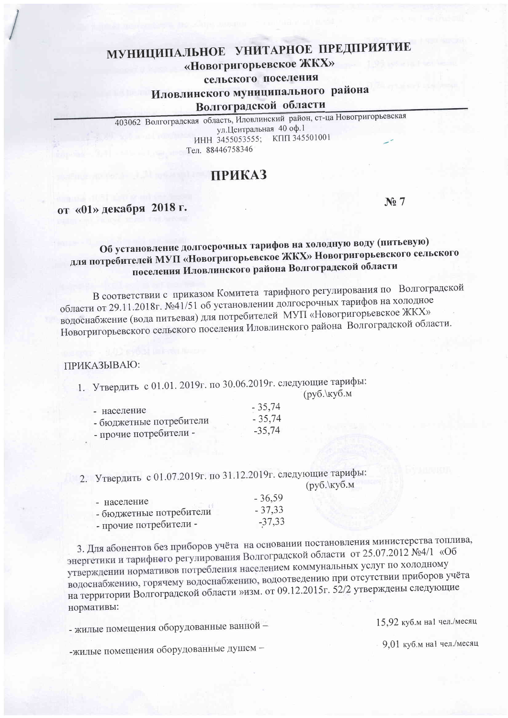## МУНИЦИПАЛЬНОЕ УНИТАРНОЕ ПРЕДПРИЯТИЕ «Новогригорьевское ЖКХ» сельского поселения Иловлинского муниципального района

Волгоградской области

403062 Волгоградская область, Иловлинский район, ст-ца Новогригорьевская ул.Центральная 40 оф.1 ИНН 3455053555; КПП 345501001 Тел. 88446758346

### **ПРИКАЗ**

от «01» декабря 2018 г.

 $\mathbf{N}$ <sup>0</sup> 7

#### Об установление долгосрочных тарифов на холодную воду (питьевую) для потребителей МУП «Новогригорьевское ЖКХ» Новогригорьевского сельского поселения Иловлинского района Волгоградской области

В соответствии с приказом Комитета тарифного регулирования по Волгоградской области от 29.11.2018г. №41/51 об установлении долгосрочных тарифов на холодное водоснабжение (вода питьевая) для потребителей МУП «Новогригорьевское ЖКХ» Новогригорьевского сельского поселения Иловлинского района Волгоградской области.

#### ПРИКАЗЫВАЮ:

1. Утвердить с 01.01. 2019г. по 30.06.2019г. следующие тарифы:

(руб.\куб.м

| - население             | $-35,74$ |
|-------------------------|----------|
| - бюджетные потребители | $-35,74$ |
| - прочие потребители -  | $-35,74$ |
|                         |          |

2. Утвердить с 01.07.2019г. по 31.12.2019г. следующие тарифы: (руб.\куб.м

| население -            | $-36,59$ |
|------------------------|----------|
| бюджетные потребители  | $-37,33$ |
| - прочие потребители - | $-37,33$ |

3. Для абонентов без приборов учёта на основании постановления министерства топлива, энергетики и тарифного регулирования Волгоградской области от 25.07.2012 №4/1 «Об утверждении нормативов потребления населением коммунальных услуг по холодному водоснабжению, горячему водоснабжению, водоотведению при отсутствии приборов учёта на территории Волгоградской области »изм. от 09.12.2015г. 52/2 утверждены следующие нормативы:

- жилые помещения оборудованные ванной -

15.92 куб.м на1 чел./месяц

-жилые помещения оборудованные душем -

9,01 куб.м на1 чел./месяц